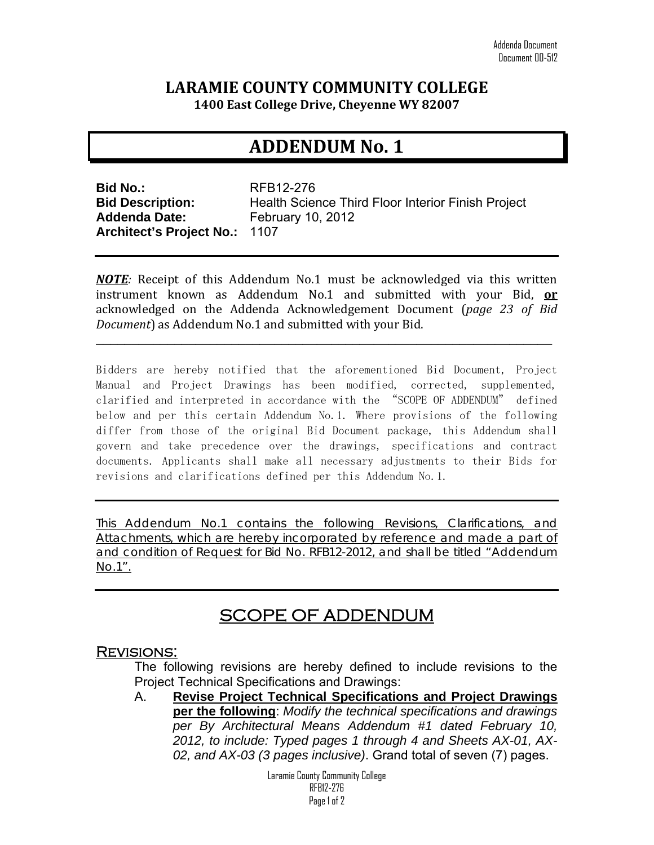### **LARAMIE COUNTY COMMUNITY COLLEGE**

**1400 East College Drive, Cheyenne WY 82007**

## **ADDENDUM No. 1**

**Bid No.:** RFB12-276 **Addenda Date:** February 10, 2012 **Architect's Project No.:** 1107

**Bid Description:** Health Science Third Floor Interior Finish Project

*NOTE:* Receipt of this Addendum No.1 must be acknowledged via this written instrument known as Addendum No.1 and submitted with your Bid, **or** acknowledged on the Addenda Acknowledgement Document (*page 23 of Bid Document*) as Addendum No.1 and submitted with your Bid.

**\_\_\_\_\_\_\_\_\_\_\_\_\_\_\_\_\_\_\_\_\_\_\_\_\_\_\_\_\_\_\_\_\_\_\_\_\_\_\_\_\_\_\_\_\_\_\_\_\_\_\_\_\_\_\_\_\_\_\_\_\_\_\_\_** 

Bidders are hereby notified that the aforementioned Bid Document, Project Manual and Project Drawings has been modified, corrected, supplemented, clarified and interpreted in accordance with the "SCOPE OF ADDENDUM" defined below and per this certain Addendum No.1. Where provisions of the following differ from those of the original Bid Document package, this Addendum shall govern and take precedence over the drawings, specifications and contract documents. Applicants shall make all necessary adjustments to their Bids for revisions and clarifications defined per this Addendum No.1.

This Addendum No.1 contains the following Revisions, Clarifications, and Attachments, which are hereby incorporated by reference and made a part of and condition of Request for Bid No. RFB12-2012, and shall be titled "Addendum No.1".

# SCOPE OF ADDENDUM

#### Revisions:

The following revisions are hereby defined to include revisions to the Project Technical Specifications and Drawings:

A. **Revise Project Technical Specifications and Project Drawings per the following**: *Modify the technical specifications and drawings per By Architectural Means Addendum #1 dated February 10, 2012, to include: Typed pages 1 through 4 and Sheets AX-01, AX-02, and AX-03 (3 pages inclusive)*. Grand total of seven (7) pages.

> Laramie County Community College RFB12-276 Page 1 of 2